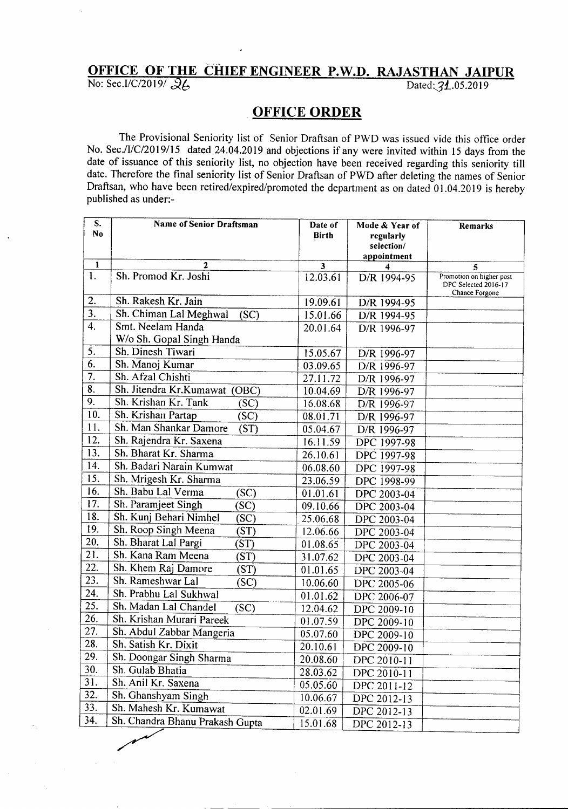## **OFFICE OF THE CHIEF ENGINEER PeWeDe RAJASTHAN JAIPUR** No: Sec.I/C/2019/  $26$  Dated: 31.05.2019

## **OFFICE ORDER**

The Provisional Seniority list of Senior Draftsan of PWO was issued vide this office order No. Sec./I/C/2019/15 dated 24.04.2019 and objections if any were invited within 15 days from the date of issuance of this seniority list, no objection have been received regarding this seniority till date. Therefore the final seniority list of Senior Draftsan of PWD after deleting the names of Senior Draftsan, who have been retired/expired/promoted the department as on dated 01.04.2019 is hereby published as under:-

| S.                        | <b>Name of Senior Draftsman</b> | Date of      | Mode & Year of          | Remarks                                |
|---------------------------|---------------------------------|--------------|-------------------------|----------------------------------------|
| N <sub>0</sub>            |                                 | <b>Birth</b> | regularly<br>selection/ |                                        |
|                           |                                 |              | appointment             |                                        |
| 1                         | 2                               | 3            | 4                       | 5                                      |
| $\mathbf{1}$ .            | Sh. Promod Kr. Joshi            | 12.03.61     | D/R 1994-95             | Promotion on higher post               |
|                           |                                 |              |                         | DPC Selected 2016-17<br>Chance Forgone |
| 2.                        | Sh. Rakesh Kr. Jain             | 19.09.61     | D/R 1994-95             |                                        |
| $\overline{3}$ .          | Sh. Chiman Lal Meghwal<br>(SC)  | 15.01.66     | D/R 1994-95             |                                        |
| $\overline{4}$ .          | Smt. Neelam Handa               | 20.01.64     | D/R 1996-97             |                                        |
|                           | W/o Sh. Gopal Singh Handa       |              |                         |                                        |
| 5.                        | Sh. Dinesh Tiwari               | 15.05.67     | D/R 1996-97             |                                        |
| 6.                        | Sh. Manoj Kumar                 | 03.09.65     | D/R 1996-97             |                                        |
| 7.                        | Sh. Afzal Chishti               | 27.11.72     | D/R 1996-97             |                                        |
| $\overline{\mathbf{8}}$ . | Sh. Jitendra Kr.Kumawat (OBC)   | 10.04.69     | D/R 1996-97             |                                        |
| $\overline{9}$ .          | Sh. Krishan Kr. Tank<br>(SC)    | 16.08.68     | D/R 1996-97             |                                        |
| 10.                       | Sh. Krishan Partap<br>(SC)      | 08.01.71     | D/R 1996-97             |                                        |
| $\overline{11}$ .         | Sh. Man Shankar Damore<br>(ST)  | 05.04.67     | D/R 1996-97             |                                        |
| 12.                       | Sh. Rajendra Kr. Saxena         | 16.11.59     | DPC 1997-98             |                                        |
| 13.                       | Sh. Bharat Kr. Sharma           | 26.10.61     | DPC 1997-98             |                                        |
| 14.                       | Sh. Badari Narain Kumwat        | 06.08.60     | DPC 1997-98             |                                        |
| 15.                       | Sh. Mrigesh Kr. Sharma          | 23.06.59     | DPC 1998-99             |                                        |
| 16.                       | Sh. Babu Lal Verma<br>(SC)      | 01.01.61     | DPC 2003-04             |                                        |
| 17.                       | Sh. Paramjeet Singh<br>(SC)     | 09.10.66     | DPC 2003-04             |                                        |
| 18.                       | Sh. Kunj Behari Nimhel<br>(SC)  | 25.06.68     | DPC 2003-04             |                                        |
| 19.                       | Sh. Roop Singh Meena<br>(ST)    | 12.06.66     | DPC 2003-04             |                                        |
| 20.                       | Sh. Bharat Lal Pargi<br>(ST)    | 01.08.65     | DPC 2003-04             |                                        |
| 21.                       | Sh. Kana Ram Meena<br>(ST)      | 31.07.62     | DPC 2003-04             |                                        |
| 22.                       | Sh. Khem Raj Damore<br>(ST)     | 01.01.65     | DPC 2003-04             |                                        |
| $\overline{23}$ .         | Sh. Rameshwar Lal<br>(SC)       | 10.06.60     | DPC 2005-06             |                                        |
| $\overline{24}$ .         | Sh. Prabhu Lal Sukhwal          | 01.01.62     | DPC 2006-07             |                                        |
| 25.                       | Sh. Madan Lal Chandel<br>(SC)   | 12.04.62     | DPC 2009-10             |                                        |
| 26.                       | Sh. Krishan Murari Pareek       | 01.07.59     | DPC 2009-10             |                                        |
| 27.                       | Sh. Abdul Zabbar Mangeria       | 05.07.60     | DPC 2009-10             |                                        |
| 28.                       | Sh. Satish Kr. Dixit            | 20.10.61     | DPC 2009-10             |                                        |
| 29.                       | Sh. Doongar Singh Sharma        | 20.08.60     | DPC 2010-11             |                                        |
| 30.                       | Sh. Gulab Bhatia                | 28.03.62     | DPC 2010-11             |                                        |
| 31.                       | Sh. Anil Kr. Saxena             | 05.05.60     | DPC 2011-12             |                                        |
| 32.                       | Sh. Ghanshyam Singh             | 10.06.67     | DPC 2012-13             |                                        |
| 33.                       | Sh. Mahesh Kr. Kumawat          | 02.01.69     | DPC 2012-13             |                                        |
| 34.                       | Sh. Chandra Bhanu Prakash Gupta | 15.01.68     | DPC 2012-13             |                                        |